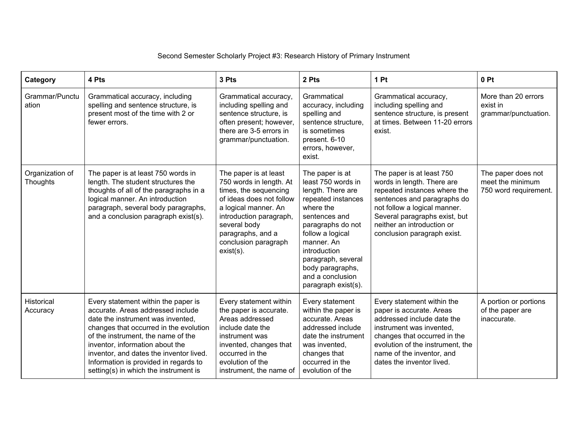## Second Semester Scholarly Project #3: Research History of Primary Instrument

| Category                           | 4 Pts                                                                                                                                                                                                                                                                                                                                                         | 3 Pts                                                                                                                                                                                                                                 | 2 Pts                                                                                                                                                                                                                                                                      | 1 Pt                                                                                                                                                                                                                                                 | 0P <sub>t</sub>                                                 |
|------------------------------------|---------------------------------------------------------------------------------------------------------------------------------------------------------------------------------------------------------------------------------------------------------------------------------------------------------------------------------------------------------------|---------------------------------------------------------------------------------------------------------------------------------------------------------------------------------------------------------------------------------------|----------------------------------------------------------------------------------------------------------------------------------------------------------------------------------------------------------------------------------------------------------------------------|------------------------------------------------------------------------------------------------------------------------------------------------------------------------------------------------------------------------------------------------------|-----------------------------------------------------------------|
| Grammar/Punctu<br>ation            | Grammatical accuracy, including<br>spelling and sentence structure, is<br>present most of the time with 2 or<br>fewer errors.                                                                                                                                                                                                                                 | Grammatical accuracy,<br>including spelling and<br>sentence structure, is<br>often present; however,<br>there are 3-5 errors in<br>grammar/punctuation.                                                                               | Grammatical<br>accuracy, including<br>spelling and<br>sentence structure.<br>is sometimes<br>present. 6-10<br>errors, however,<br>exist.                                                                                                                                   | Grammatical accuracy,<br>including spelling and<br>sentence structure, is present<br>at times. Between 11-20 errors<br>exist.                                                                                                                        | More than 20 errors<br>exist in<br>grammar/punctuation.         |
| Organization of<br><b>Thoughts</b> | The paper is at least 750 words in<br>length. The student structures the<br>thoughts of all of the paragraphs in a<br>logical manner. An introduction<br>paragraph, several body paragraphs,<br>and a conclusion paragraph exist(s).                                                                                                                          | The paper is at least<br>750 words in length. At<br>times, the sequencing<br>of ideas does not follow<br>a logical manner. An<br>introduction paragraph,<br>several body<br>paragraphs, and a<br>conclusion paragraph<br>$exist(s)$ . | The paper is at<br>least 750 words in<br>length. There are<br>repeated instances<br>where the<br>sentences and<br>paragraphs do not<br>follow a logical<br>manner. An<br>introduction<br>paragraph, several<br>body paragraphs,<br>and a conclusion<br>paragraph exist(s). | The paper is at least 750<br>words in length. There are<br>repeated instances where the<br>sentences and paragraphs do<br>not follow a logical manner.<br>Several paragraphs exist, but<br>neither an introduction or<br>conclusion paragraph exist. | The paper does not<br>meet the minimum<br>750 word requirement. |
| Historical<br>Accuracy             | Every statement within the paper is<br>accurate. Areas addressed include<br>date the instrument was invented,<br>changes that occurred in the evolution<br>of the instrument, the name of the<br>inventor, information about the<br>inventor, and dates the inventor lived.<br>Information is provided in regards to<br>setting(s) in which the instrument is | Every statement within<br>the paper is accurate.<br>Areas addressed<br>include date the<br>instrument was<br>invented, changes that<br>occurred in the<br>evolution of the<br>instrument, the name of                                 | Every statement<br>within the paper is<br>accurate. Areas<br>addressed include<br>date the instrument<br>was invented,<br>changes that<br>occurred in the<br>evolution of the                                                                                              | Every statement within the<br>paper is accurate. Areas<br>addressed include date the<br>instrument was invented,<br>changes that occurred in the<br>evolution of the instrument, the<br>name of the inventor, and<br>dates the inventor lived.       | A portion or portions<br>of the paper are<br>inaccurate.        |